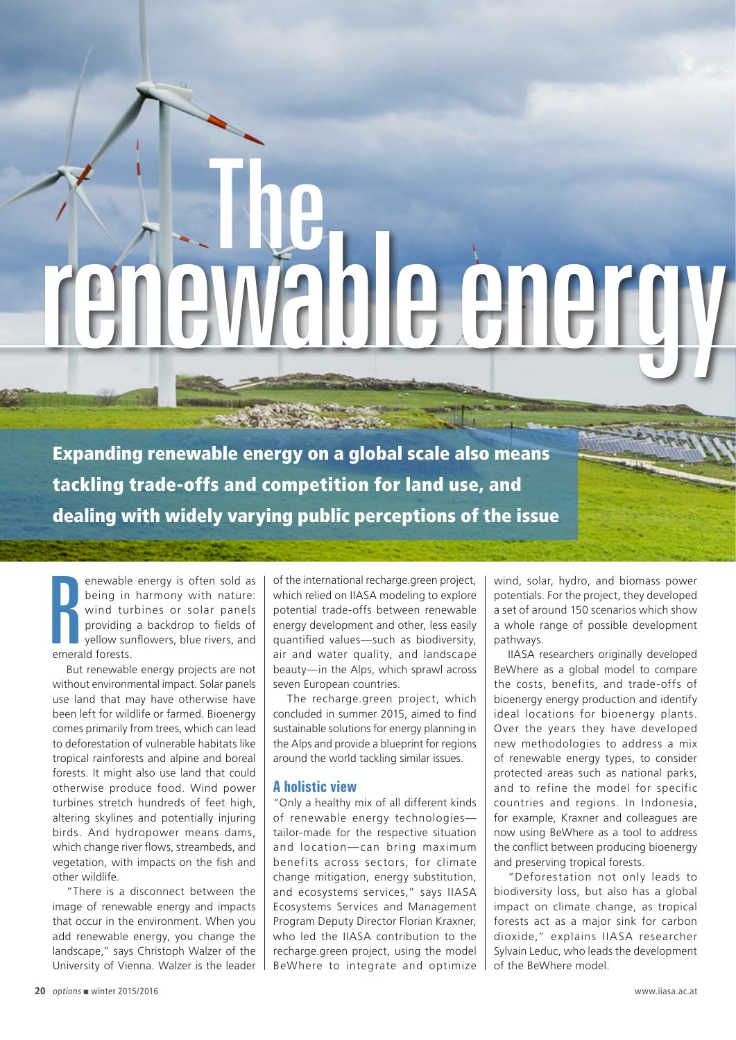## The rending renewable energy on a global scale also means

Expanding renewable energy on a global scale also means tackling trade-offs and competition for land use, and dealing with widely varying public perceptions of the issue

Providing<br>
Review in the providing<br>
emerald forests. enewable energy is often sold as being in harmony with nature: wind turbines or solar panels providing a backdrop to fields of yellow sunflowers, blue rivers, and

But renewable energy projects are not without environmental impact. Solar panels use land that may have otherwise have been left for wildlife or farmed. Bioenergy comes primarily from trees, which can lead to deforestation of vulnerable habitats like tropical rainforests and alpine and boreal forests. It might also use land that could otherwise produce food. Wind power turbines stretch hundreds of feet high, altering skylines and potentially injuring birds. And hydropower means dams, which change river flows, streambeds, and vegetation, with impacts on the fish and other wildlife.

"There is a disconnect between the image of renewable energy and impacts that occur in the environment. When you add renewable energy, you change the landscape," says Christoph Walzer of the University of Vienna. Walzer is the leader of the international recharge.green project, which relied on IIASA modeling to explore potential trade-offs between renewable energy development and other, less easily quantified values—such as biodiversity, air and water quality, and landscape beauty—in the Alps, which sprawl across seven European countries.

The recharge.green project, which concluded in summer 2015, aimed to find sustainable solutions for energy planning in the Alps and provide a blueprint for regions around the world tackling similar issues.

## **A holistic view**

"Only a healthy mix of all different kinds of renewable energy technologies tailor-made for the respective situation and location— can bring maximum benefits across sectors, for climate change mitigation, energy substitution, and ecosystems services," says IIASA Ecosystems Services and Management Program Deputy Director Florian Kraxner, who led the IIASA contribution to the recharge.green project, using the model BeWhere to integrate and optimize wind, solar, hydro, and biomass power potentials. For the project, they developed a set of around 150 scenarios which show a whole range of possible development pathways.

IIASA researchers originally developed BeWhere as a global model to compare the costs, benefits, and trade-offs of bioenergy energy production and identify ideal locations for bioenergy plants. Over the years they have developed new methodologies to address a mix of renewable energy types, to consider protected areas such as national parks, and to refine the model for specific countries and regions. In Indonesia, for example, Kraxner and colleagues are now using BeWhere as a tool to address the conflict between producing bioenergy and preserving tropical forests.

"Deforestation not only leads to biodiversity loss, but also has a global impact on climate change, as tropical forests act as a major sink for carbon dioxide," explains IIASA researcher Sylvain Leduc, who leads the development of the BeWhere model.